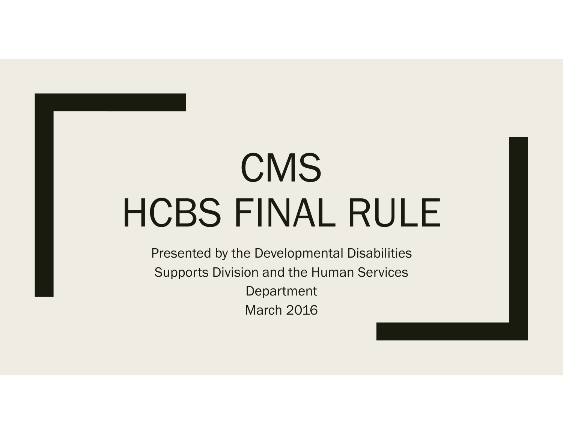# CMS HCBS FINAL RULE

Presented by the Developmental Disabilities Supports Division and the Human Services Department March 2016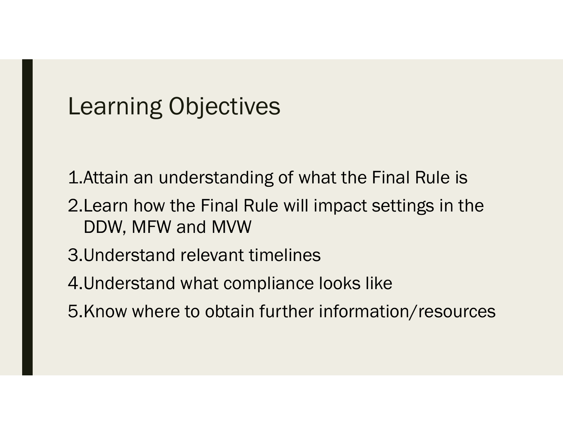### Learning Objectives

- 1.Attain an understanding of what the Final Rule is
- 2.Learn how the Final Rule will impact settings in the DDW, MFW and MVW
- 3.Understand relevant timelines
- 4.Understand what compliance looks like
- 5.Know where to obtain further information/resources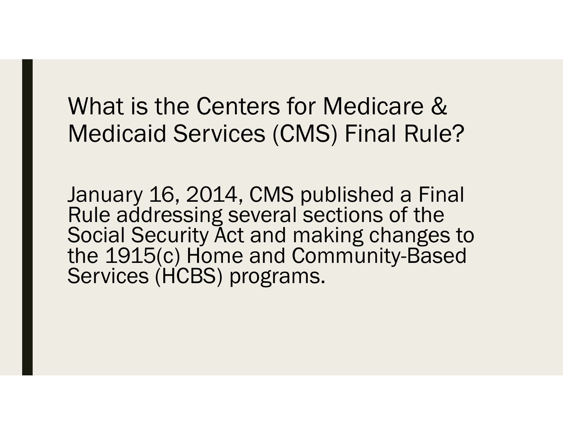## What is the Centers for Medicare & Medicaid Services (CMS) Final Rule?

January 16, 2014, CMS published a Final Rule addressing several sections of the Social Security Act and making changes to the 1915(c) Home and Community-Based Services (HCBS) programs.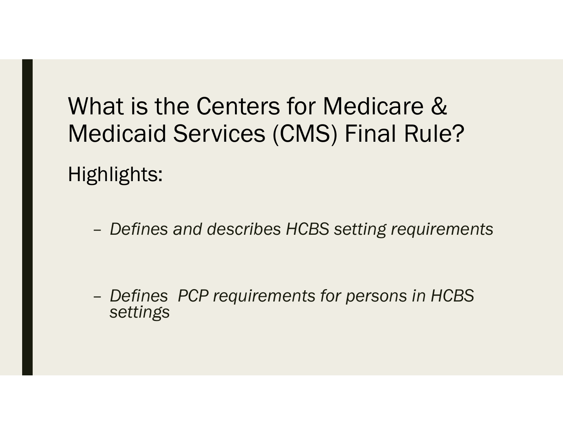# What is the Centers for Medicare & Medicaid Services (CMS) Final Rule?

Highlights:

*Defines and describes HCBS setting requirements* 

 *Defines PCP requirements for persons in HCBS settings*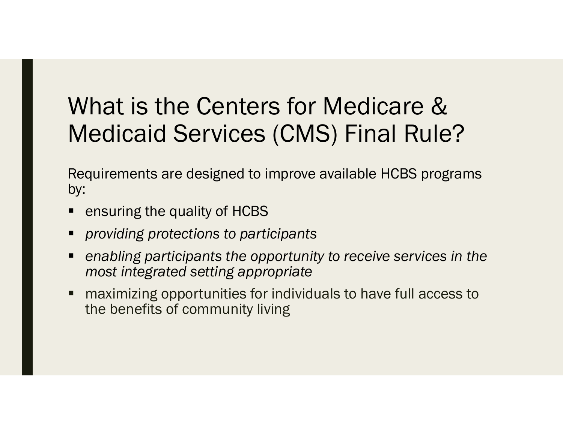## What is the Centers for Medicare & Medicaid Services (CMS) Final Rule?

Requirements are designed to improve available HCBS programs by:

- ensuring the quality of HCBS
- *providing protections to participants*
- *enabling participants the opportunity to receive services in the most integrated setting appropriate*
- maximizing opportunities for individuals to have full access to the benefits of community living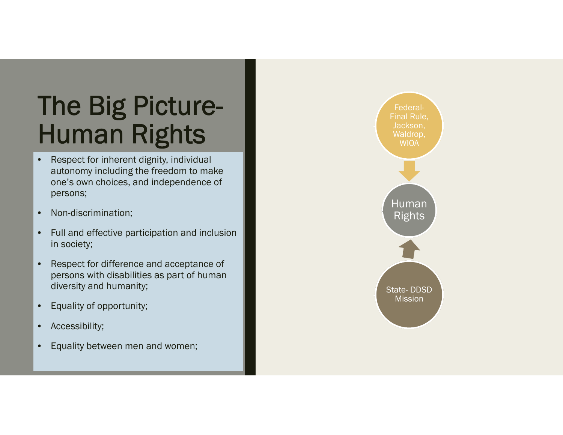# The Big Picture-Human Rights

- • Respect for inherent dignity, individual autonomy including the freedom to make one's own choices, and independence of persons;
- •Non-discrimination;
- $\bullet$  Full and effective participation and inclusion in society;
- • Respect for difference and acceptance of persons with disabilities as part of human diversity and humanity;
- •Equality of opportunity;
- •Accessibility;
- •Equality between men and women;

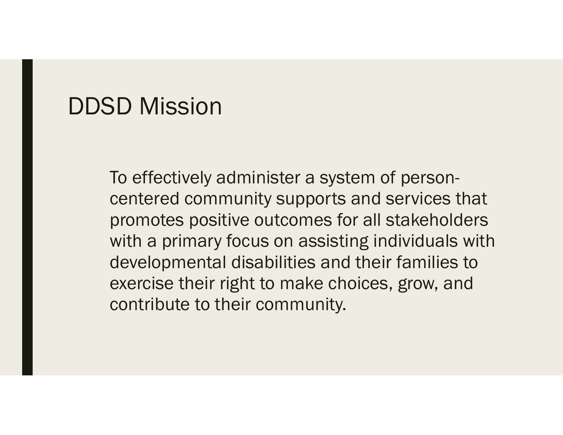### DDSD Mission

To effectively administer a system of personcentered community supports and services that promotes positive outcomes for all stakeholders with a primary focus on assisting individuals with developmental disabilities and their families to exercise their right to make choices, grow, and contribute to their community.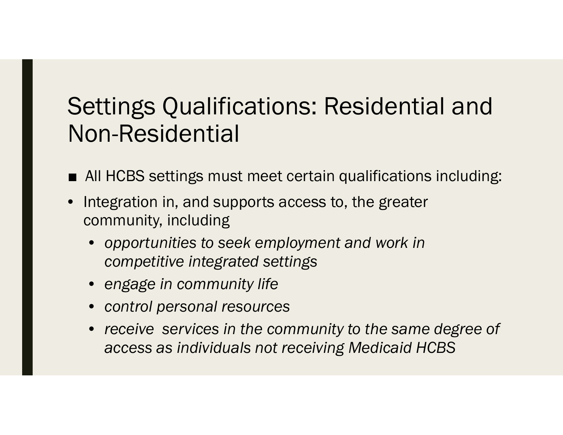## Settings Qualifications: Residential and Non-Residential

- All HCBS settings must meet certain qualifications including:
- Integration in, and supports access to, the greater community, including
	- • *opportunities to seek employment and work in competitive integrated settings*
	- *engage in community life*
	- *control personal resources*
	- *receive services in the community to the same degree of access as individuals not receiving Medicaid HCBS*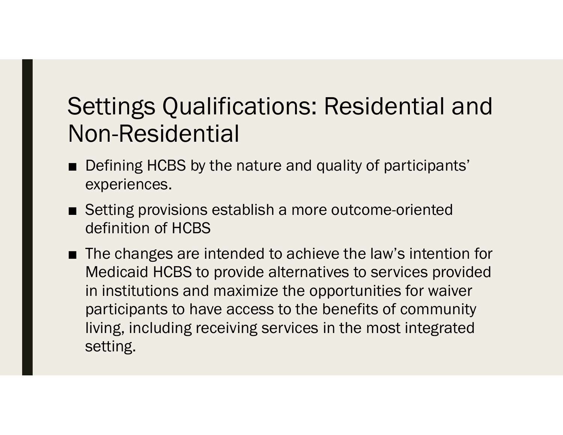## Settings Qualifications: Residential and Non-Residential

- Defining HCBS by the nature and quality of participants' experiences.
- Setting provisions establish a more outcome-oriented definition of HCBS
- The changes are intended to achieve the law's intention for Medicaid HCBS to provide alternatives to services provided in institutions and maximize the opportunities for waiver participants to have access to the benefits of community living, including receiving services in the most integrated setting.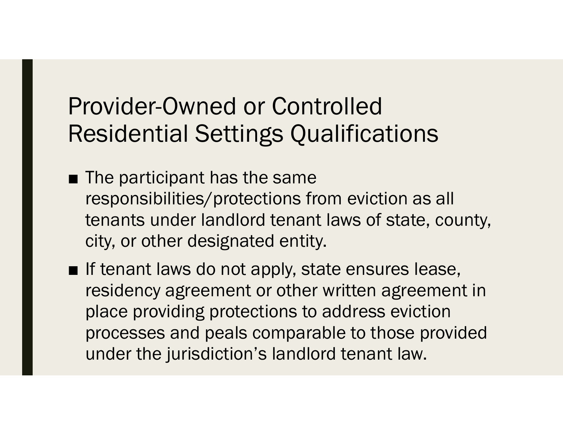## Provider-Owned or Controlled Residential Settings Qualifications

- The participant has the same responsibilities/protections from eviction as all tenants under landlord tenant laws of state, county, city, or other designated entity.
- If tenant laws do not apply, state ensures lease, residency agreement or other written agreement in place providing protections to address eviction processes and peals comparable to those provided under the jurisdiction's landlord tenant law.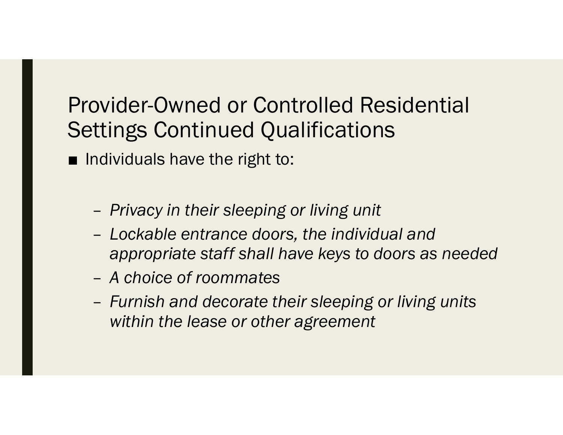### Provider-Owned or Controlled Residential Settings Continued Qualifications

- Individuals have the right to:
	- –*Privacy in their sleeping or living unit*
	- – *Lockable entrance doors, the individual and appropriate staff shall have keys to doors as needed*
	- *A choice of roommates*
	- – *Furnish and decorate their sleeping or living units within the lease or other agreement*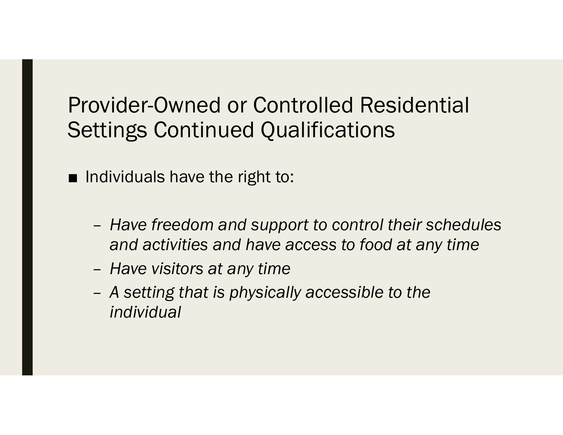### Provider-Owned or Controlled Residential Settings Continued Qualifications

■ Individuals have the right to:

- – *Have freedom and support to control their schedules and activities and have access to food at any time*
- –*Have visitors at any time*
- – *A setting that is physically accessible to the individual*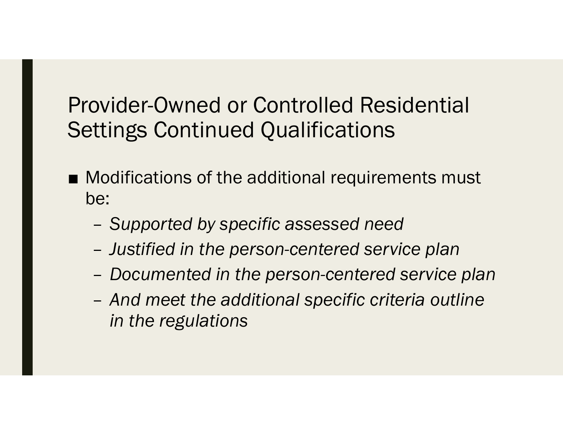### Provider-Owned or Controlled Residential Settings Continued Qualifications

- Modifications of the additional requirements must be:
	- –*Supported by specific assessed need*
	- –*Justified in the person-centered service plan*
	- –*Documented in the person-centered service plan*
	- – *And meet the additional specific criteria outline in the regulations*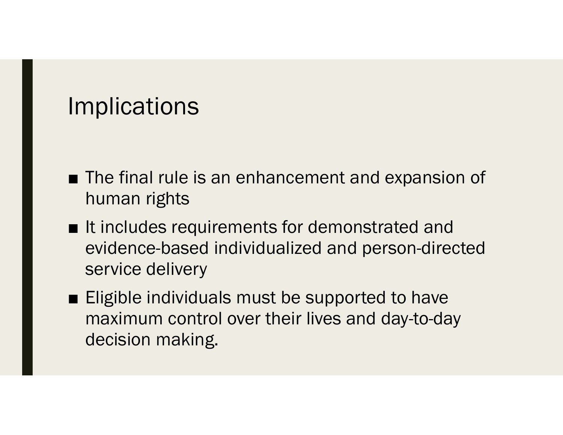## **Implications**

- The final rule is an enhancement and expansion of human rights
- It includes requirements for demonstrated and evidence-based individualized and person-directed service delivery
- Eligible individuals must be supported to have maximum control over their lives and day-to-day decision making.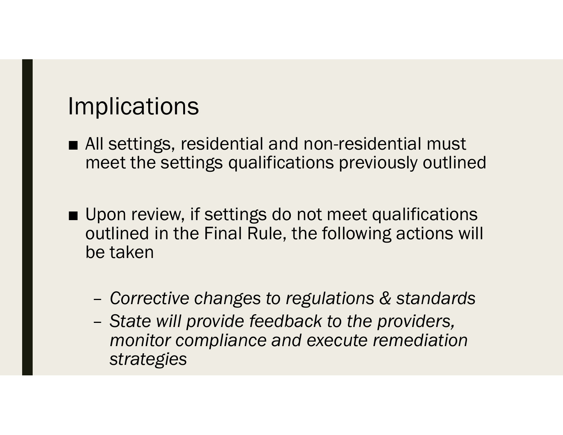## **Implications**

- All settings, residential and non-residential must meet the settings qualifications previously outlined
- Upon review, if settings do not meet qualifications outlined in the Final Rule, the following actions will be taken
	- –*Corrective changes to regulations & standards*
	- – *State will provide feedback to the providers, monitor compliance and execute remediation strategies*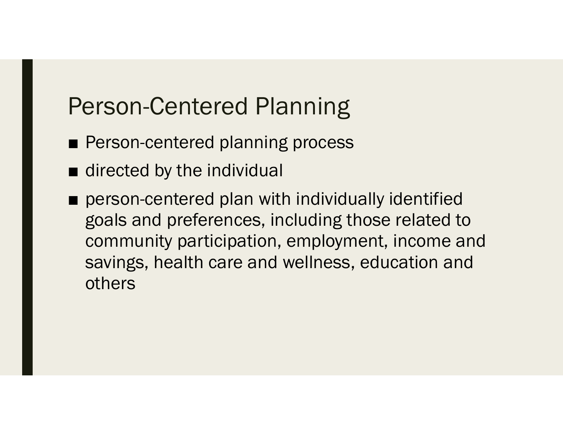## Person-Centered Planning

- Person-centered planning process
- directed by the individual
- person-centered plan with individually identified goals and preferences, including those related to community participation, employment, income and savings, health care and wellness, education and others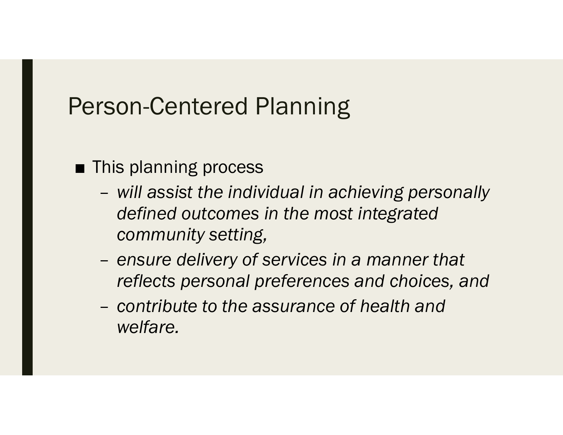## Person-Centered Planning

### ■ This planning process

- *will assist the individual in achieving personally defined outcomes in the most integrated community setting,*
- *ensure delivery of services in a manner that reflects personal preferences and choices, and*
- *contribute to the assurance of health and welfare.*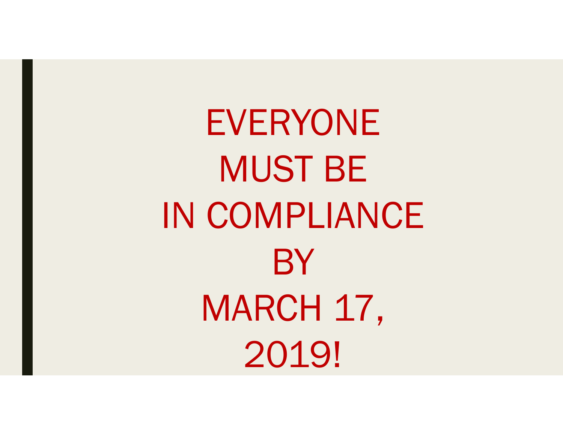EVERYONE MUST BE IN COMPLIANCE **BY** MARCH 17, 2019!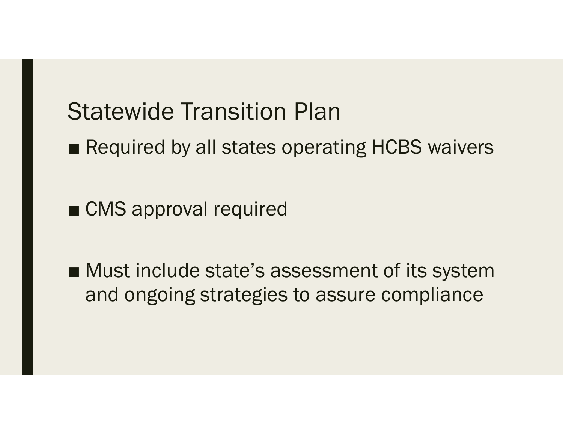## Statewide Transition Plan

■ Required by all states operating HCBS waivers

■ CMS approval required

■ Must include state's assessment of its system and ongoing strategies to assure compliance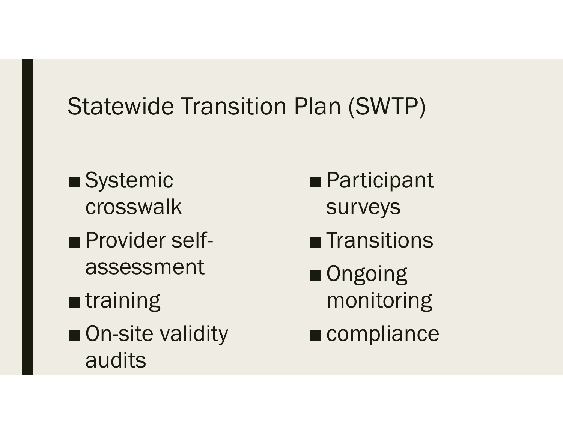# Statewide Transition Plan (SWTP)

- Systemic crosswalk
- Provider selfassessment
- training
- On-site validity audits
- Participant surveys
- Transitions
- Ongoing monitoring
- compliance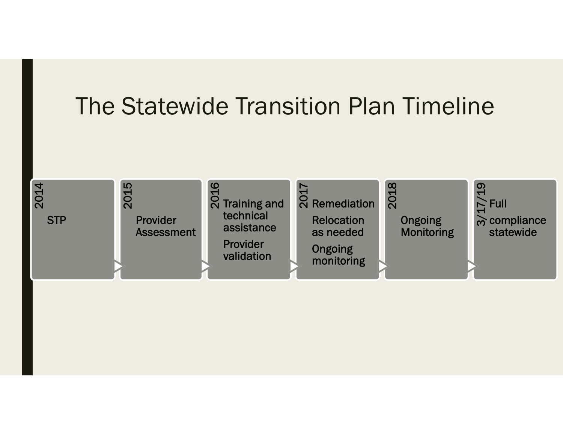# The Statewide Transition Plan Timeline

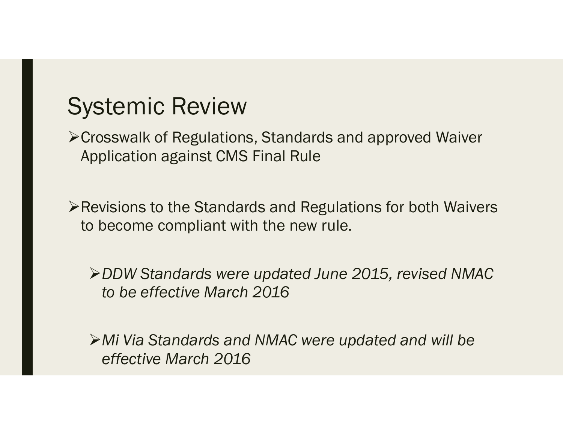## Systemic Review

Crosswalk of Regulations, Standards and approved Waiver Application against CMS Final Rule

Revisions to the Standards and Regulations for both Waivers to become compliant with the new rule.

*DDW Standards were updated June 2015, revised NMAC to be effective March 2016*

*Mi Via Standards and NMAC were updated and will be effective March 2016*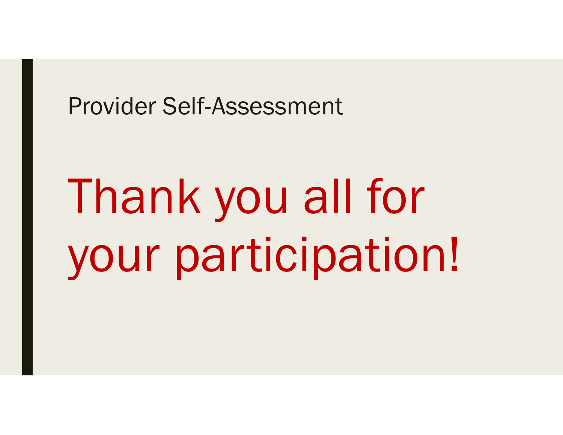### Provider Self-Assessment

# Thank you all for your participation!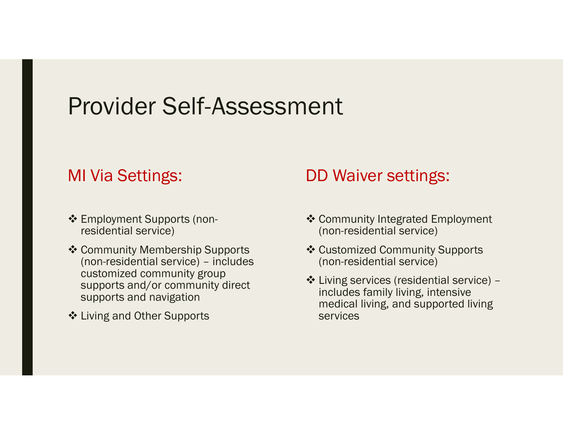### Provider Self-Assessment

### MI Via Settings:

- Employment Supports (nonresidential service)
- ❖ Community Membership Supports (non-residential service) – includes customized community group supports and/or community direct supports and navigation
- Living and Other Supports

### DD Waiver settings:

- ❖ Community Integrated Employment (non-residential service)
- ❖ Customized Community Supports (non-residential service)
- Living services (residential service) includes family living, intensive medical living, and supported living services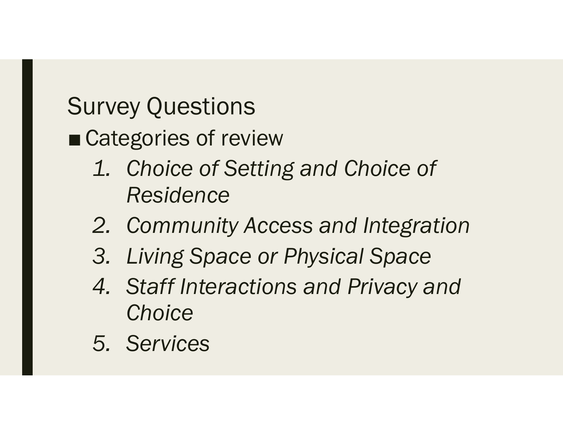# Survey Questions

### ■ Categories of review

- *1. Choice of Setting and Choice of Residence*
- *2. Community Access and Integration*
- *3. Living Space or Physical Space*
- *4. Staff Interactions and Privacy and Choice*
- *5. Services*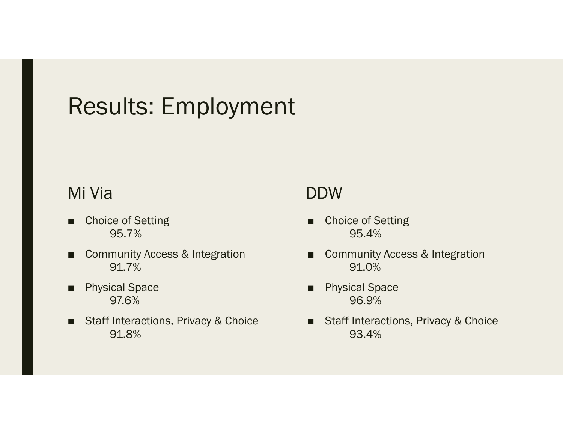## Results: Employment

### Mi Via

- ■ Choice of Setting 95.7%
- Community Access & Integration 91.7%
- Physical Space 97.6%
- Staff Interactions, Privacy & Choice 91.8%

### DDW

- ■ Choice of Setting 95.4%
- Community Access & Integration 91.0%
- ■ Physical Space 96.9%
- Staff Interactions, Privacy & Choice 93.4%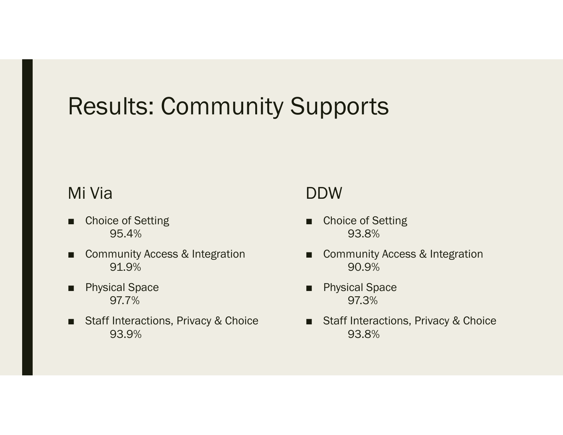## Results: Community Supports

#### Mi Via

- ■ Choice of Setting 95.4%
- ■ Community Access & Integration 91.9%
- Physical Space 97.7%
- Staff Interactions, Privacy & Choice 93.9%

#### DDW

- ■ Choice of Setting 93.8%
- ■ Community Access & Integration 90.9%
- ■ Physical Space 97.3%
- Staff Interactions, Privacy & Choice 93.8%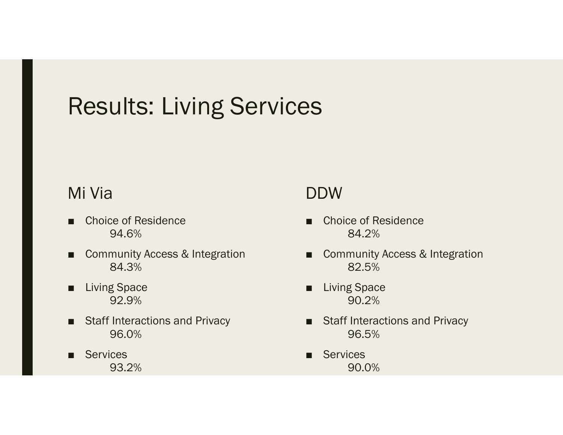# Results: Living Services

### Mi Via

- Choice of Residence 94.6%
- Community Access & Integration 84.3%
- Living Space 92.9%
- Staff Interactions and Privacy 96.0%
- Services 93.2%

### DDW

- ■ Choice of Residence 84.2%
- Community Access & Integration 82.5%
- ■ Living Space 90.2%
- Staff Interactions and Privacy 96.5%
- ■**Services** 90.0%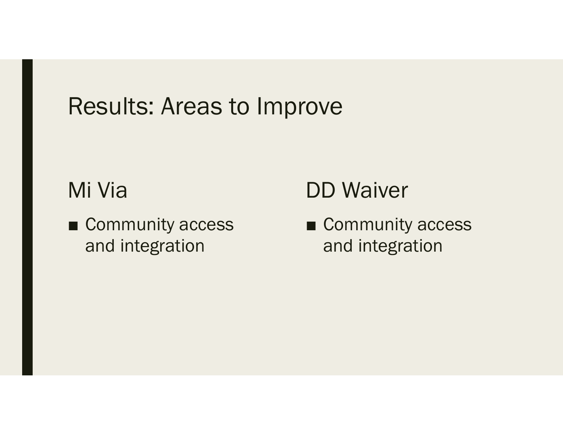### Results: Areas to Improve

### Mi Via

■ Community access and integration

## DD Waiver

■ Community access and integration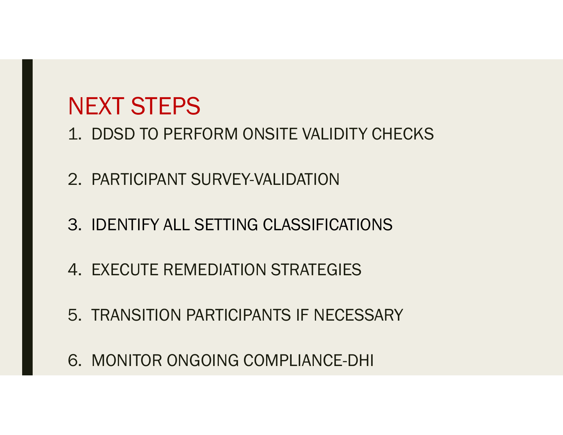# NEXT STEPS

- 1. DDSD TO PERFORM ONSITE VALIDITY CHECKS
- 2. PARTICIPANT SURVEY-VALIDATION
- 3. IDENTIFY ALL SETTING CLASSIFICATIONS
- 4. EXECUTE REMEDIATION STRATEGIES
- 5. TRANSITION PARTICIPANTS IF NECESSARY
- 6. MONITOR ONGOING COMPLIANCE-DHI